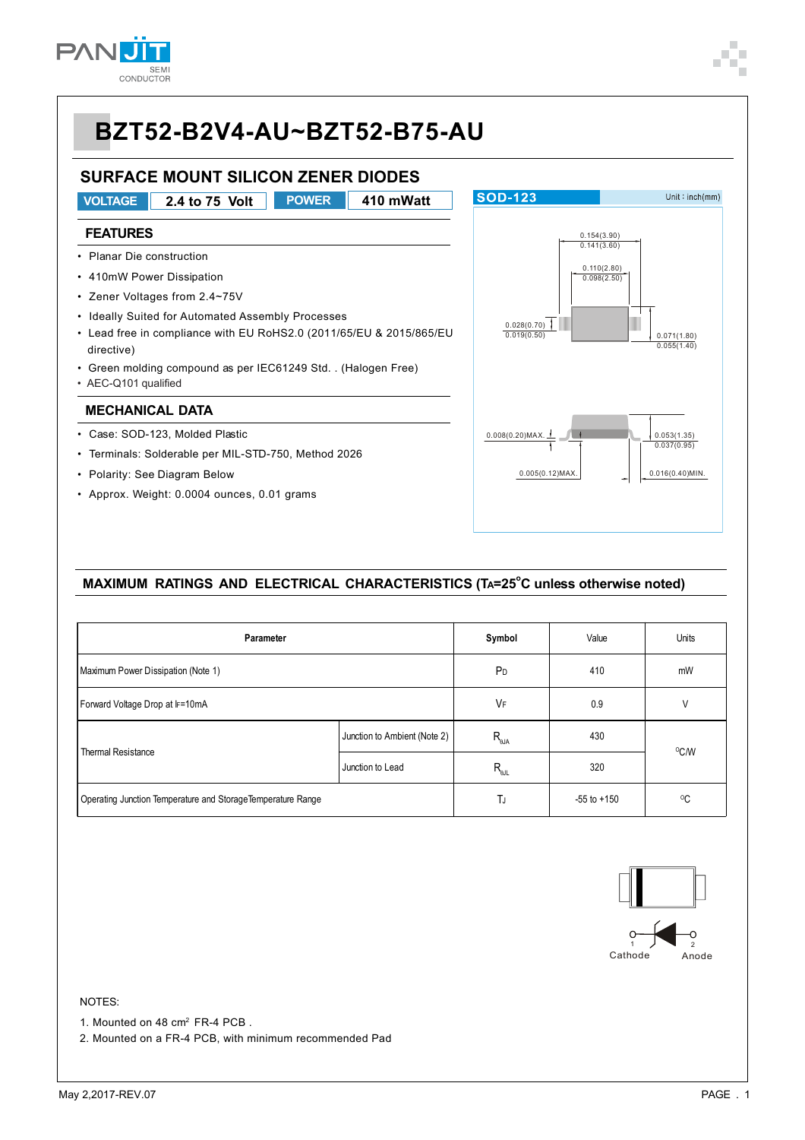

#### **SURFACE MOUNT SILICON ZENER DIODES**



#### MAXIMUM RATINGS AND ELECTRICAL CHARACTERISTICS (TA=25<sup>°</sup>C unless otherwise noted)

| Parameter                                                    | Symbol                       | Value               | Units        |      |  |
|--------------------------------------------------------------|------------------------------|---------------------|--------------|------|--|
| Maximum Power Dissipation (Note 1)                           | P <sub>D</sub>               | 410                 | mW           |      |  |
| Forward Voltage Drop at IF=10mA                              | VF                           | 0.9                 | V            |      |  |
|                                                              | Junction to Ambient (Note 2) | $R_{_{\theta J A}}$ | 430          |      |  |
| <b>Thermal Resistance</b>                                    | Junction to Lead             | $R_{\text{all}}$    | 320          | °C/W |  |
| Operating Junction Temperature and Storage Temperature Range | TJ                           | $-55$ to $+150$     | $^{\circ}$ C |      |  |



#### NOTES:

1. Mounted on 48 cm<sup>2</sup> FR-4 PCB.

2. Mounted on a FR-4 PCB, with minimum recommended Pad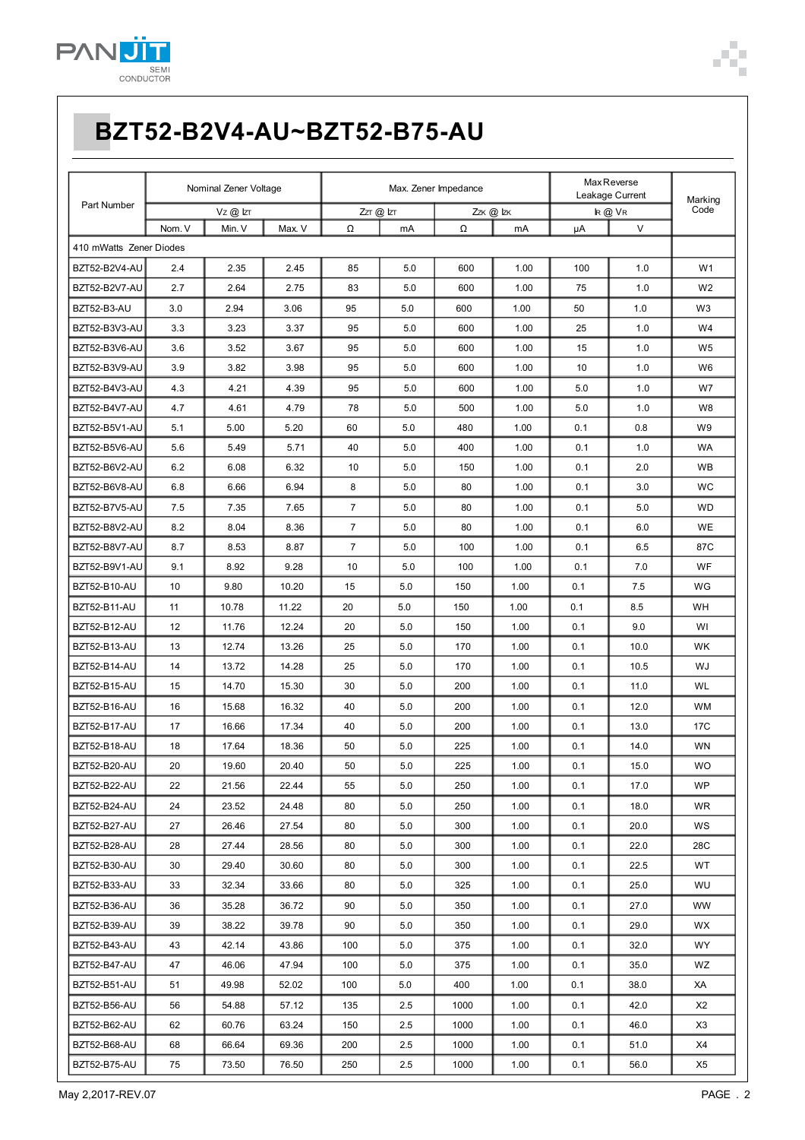

| Part Number             | Nominal Zener Voltage |        | Max. Zener Impedance |                |         | <b>MaxReverse</b><br>Leakage Current |      | Marking |        |                |
|-------------------------|-----------------------|--------|----------------------|----------------|---------|--------------------------------------|------|---------|--------|----------------|
|                         |                       | Vz@kT  |                      | $ZT$ $@$ $ZT$  |         | Zzk @ Izk                            |      | k @VR   |        | Code           |
|                         | Nom. V                | Min. V | Max. V               | Ω              | mA      | Ω                                    | mA   | μA      | $\vee$ |                |
| 410 mWatts Zener Diodes |                       |        |                      |                |         |                                      |      |         |        |                |
| BZT52-B2V4-AU           | 2.4                   | 2.35   | 2.45                 | 85             | 5.0     | 600                                  | 1.00 | 100     | 1.0    | W <sub>1</sub> |
| BZT52-B2V7-AU           | 2.7                   | 2.64   | 2.75                 | 83             | 5.0     | 600                                  | 1.00 | 75      | 1.0    | W <sub>2</sub> |
| BZT52-B3-AU             | 3.0                   | 2.94   | 3.06                 | 95             | 5.0     | 600                                  | 1.00 | 50      | 1.0    | W3             |
| BZT52-B3V3-AU           | 3.3                   | 3.23   | 3.37                 | 95             | 5.0     | 600                                  | 1.00 | 25      | 1.0    | W4             |
| BZT52-B3V6-AU           | 3.6                   | 3.52   | 3.67                 | 95             | 5.0     | 600                                  | 1.00 | 15      | 1.0    | W5             |
| BZT52-B3V9-AU           | 3.9                   | 3.82   | 3.98                 | 95             | 5.0     | 600                                  | 1.00 | 10      | 1.0    | W <sub>6</sub> |
| BZT52-B4V3-AU           | 4.3                   | 4.21   | 4.39                 | 95             | 5.0     | 600                                  | 1.00 | 5.0     | 1.0    | W7             |
| BZT52-B4V7-AU           | 4.7                   | 4.61   | 4.79                 | 78             | 5.0     | 500                                  | 1.00 | 5.0     | 1.0    | W8             |
| BZT52-B5V1-AU           | 5.1                   | 5.00   | 5.20                 | 60             | 5.0     | 480                                  | 1.00 | 0.1     | 0.8    | W9             |
| BZT52-B5V6-AU           | 5.6                   | 5.49   | 5.71                 | 40             | 5.0     | 400                                  | 1.00 | 0.1     | 1.0    | <b>WA</b>      |
| BZT52-B6V2-AU           | 6.2                   | 6.08   | 6.32                 | 10             | 5.0     | 150                                  | 1.00 | 0.1     | 2.0    | WB             |
| BZT52-B6V8-AU           | 6.8                   | 6.66   | 6.94                 | 8              | 5.0     | 80                                   | 1.00 | 0.1     | 3.0    | WC             |
| BZT52-B7V5-AU           | 7.5                   | 7.35   | 7.65                 | 7              | 5.0     | 80                                   | 1.00 | 0.1     | 5.0    | <b>WD</b>      |
| BZT52-B8V2-AU           | 8.2                   | 8.04   | 8.36                 | $\overline{7}$ | 5.0     | 80                                   | 1.00 | 0.1     | 6.0    | WE             |
| BZT52-B8V7-AU           | 8.7                   | 8.53   | 8.87                 | $\overline{7}$ | 5.0     | 100                                  | 1.00 | 0.1     | 6.5    | 87C            |
| BZT52-B9V1-AU           | 9.1                   | 8.92   | 9.28                 | 10             | 5.0     | 100                                  | 1.00 | 0.1     | 7.0    | WF             |
| BZT52-B10-AU            | 10                    | 9.80   | 10.20                | 15             | 5.0     | 150                                  | 1.00 | 0.1     | 7.5    | WG             |
| BZT52-B11-AU            | 11                    | 10.78  | 11.22                | 20             | 5.0     | 150                                  | 1.00 | 0.1     | 8.5    | WH             |
| BZT52-B12-AU            | 12                    | 11.76  | 12.24                | 20             | 5.0     | 150                                  | 1.00 | 0.1     | 9.0    | WI             |
| BZT52-B13-AU            | 13                    | 12.74  | 13.26                | 25             | 5.0     | 170                                  | 1.00 | 0.1     | 10.0   | WK             |
| BZT52-B14-AU            | 14                    | 13.72  | 14.28                | 25             | 5.0     | 170                                  | 1.00 | 0.1     | 10.5   | WJ             |
| BZT52-B15-AU            | 15                    | 14.70  | 15.30                | 30             | 5.0     | 200                                  | 1.00 | 0.1     | 11.0   | <b>WL</b>      |
| BZT52-B16-AU            | 16                    | 15.68  | 16.32                | 40             | 5.0     | 200                                  | 1.00 | 0.1     | 12.0   | <b>WM</b>      |
| BZT52-B17-AU            | 17                    | 16.66  | 17.34                | 40             | 5.0     | 200                                  | 1.00 | 0.1     | 13.0   | 17C            |
| BZT52-B18-AU            | 18                    | 17.64  | 18.36                | 50             | 5.0     | 225                                  | 1.00 | 0.1     | 14.0   | <b>WN</b>      |
| BZT52-B20-AU            | 20                    | 19.60  | 20.40                | 50             | 5.0     | 225                                  | 1.00 | 0.1     | 15.0   | WO             |
| BZT52-B22-AU            | 22                    | 21.56  | 22.44                | 55             | 5.0     | 250                                  | 1.00 | 0.1     | 17.0   | <b>WP</b>      |
| BZT52-B24-AU            | 24                    | 23.52  | 24.48                | 80             | 5.0     | 250                                  | 1.00 | 0.1     | 18.0   | WR.            |
| BZT52-B27-AU            | 27                    | 26.46  | 27.54                | 80             | 5.0     | 300                                  | 1.00 | 0.1     | 20.0   | WS             |
| BZT52-B28-AU            | 28                    | 27.44  | 28.56                | 80             | 5.0     | 300                                  | 1.00 | 0.1     | 22.0   | 28C            |
| BZT52-B30-AU            | 30                    | 29.40  | 30.60                | 80             | 5.0     | 300                                  | 1.00 | 0.1     | 22.5   | WT             |
| BZT52-B33-AU            | 33                    | 32.34  | 33.66                | 80             | 5.0     | 325                                  | 1.00 | 0.1     | 25.0   | WU             |
| BZT52-B36-AU            | 36                    | 35.28  | 36.72                | 90             | 5.0     | 350                                  | 1.00 | 0.1     | 27.0   | WW             |
| BZT52-B39-AU            | 39                    | 38.22  | 39.78                | 90             | 5.0     | 350                                  | 1.00 | 0.1     | 29.0   | WX             |
| BZT52-B43-AU            | 43                    | 42.14  | 43.86                | 100            | 5.0     | 375                                  | 1.00 | 0.1     | 32.0   | WY.            |
| BZT52-B47-AU            | 47                    | 46.06  | 47.94                | 100            | 5.0     | 375                                  | 1.00 | 0.1     | 35.0   | WZ             |
| BZT52-B51-AU            | 51                    | 49.98  | 52.02                | 100            | 5.0     | 400                                  | 1.00 | 0.1     | 38.0   | XA             |
| BZT52-B56-AU            | 56                    | 54.88  | 57.12                | 135            | $2.5\,$ | 1000                                 | 1.00 | 0.1     | 42.0   | X2             |
| BZT52-B62-AU            | 62                    | 60.76  | 63.24                | 150            | 2.5     | 1000                                 | 1.00 | 0.1     | 46.0   | X3             |
| BZT52-B68-AU            | 68                    | 66.64  | 69.36                | 200            | $2.5\,$ | 1000                                 | 1.00 | 0.1     | 51.0   | X4             |
| BZT52-B75-AU            | 75                    | 73.50  | 76.50                | 250            | 2.5     | 1000                                 | 1.00 | 0.1     | 56.0   | X5             |

Ì.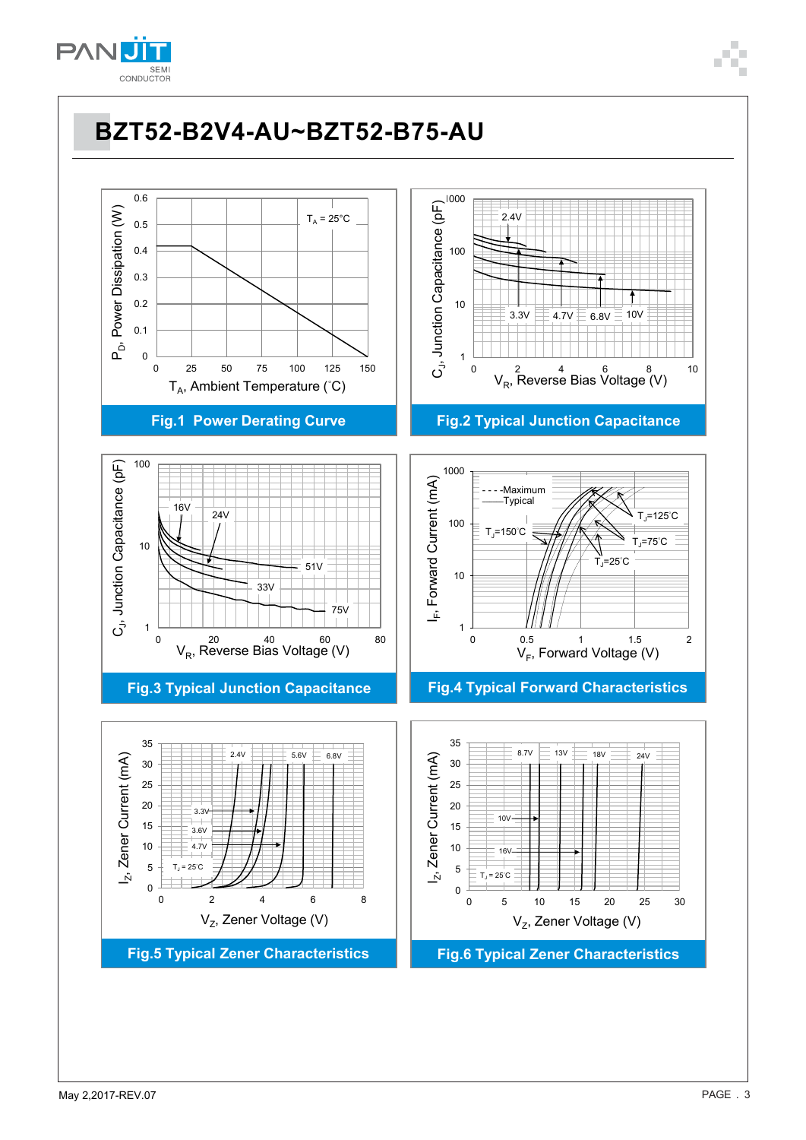

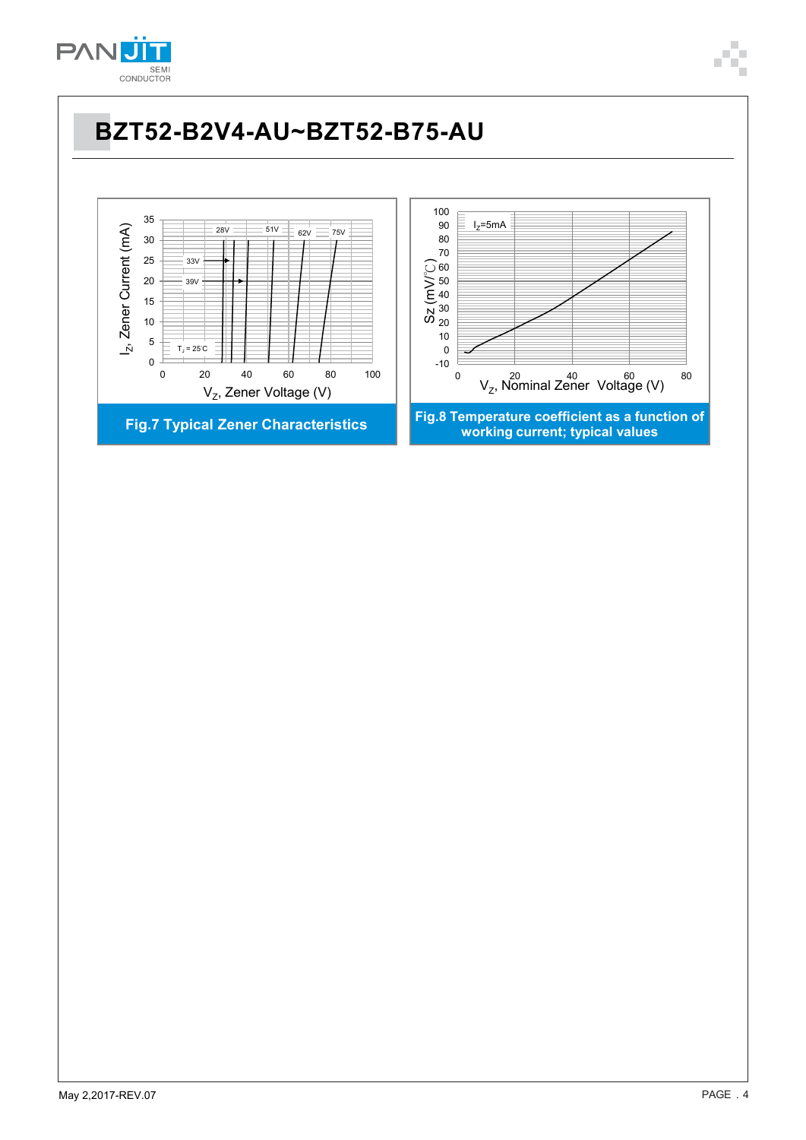

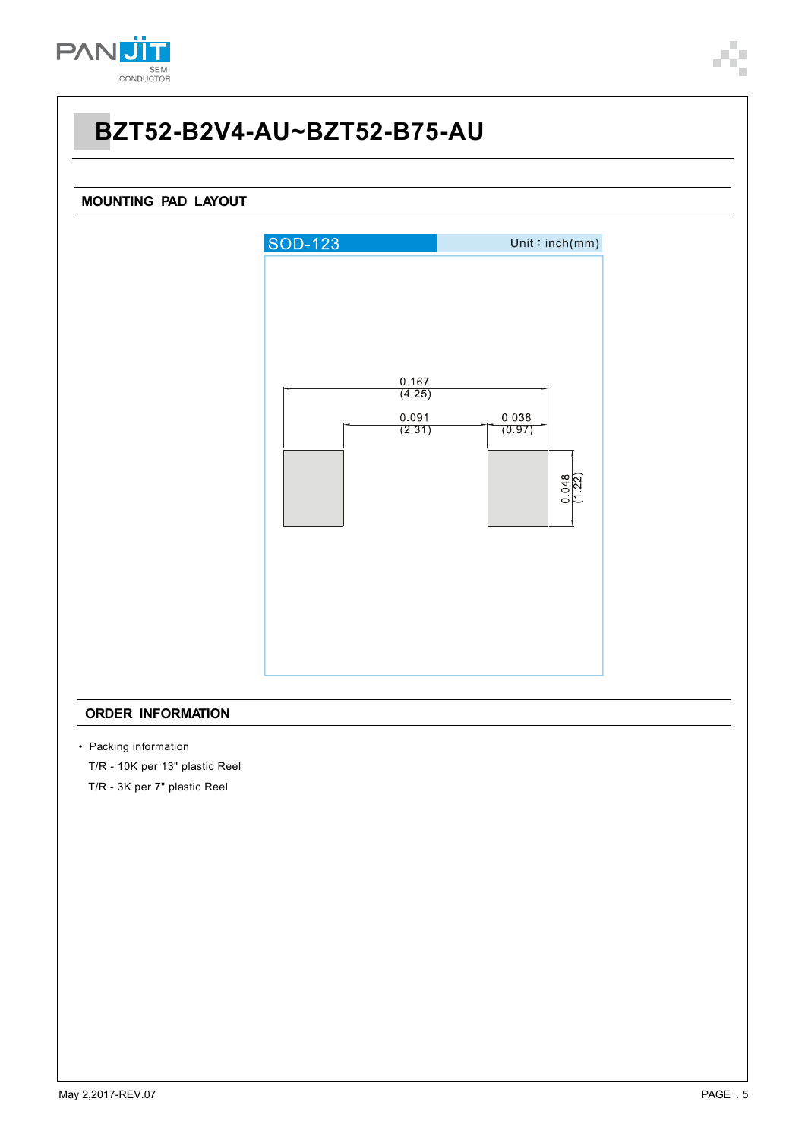

# **MOUNTING PAD LAYOUT SOD-123**  $Unit:inch(mm)$  $\frac{0.167}{(4.25)}$  $0.091$ 0.038  $\frac{0.000}{(0.97)}$  $(2.31)$  $\frac{0.048}{(1.22)}$

#### **ORDER INFORMATION**

- Packing information
	- T/R 10K per 13" plastic Reel
	- T/R 3K per 7" plastic Reel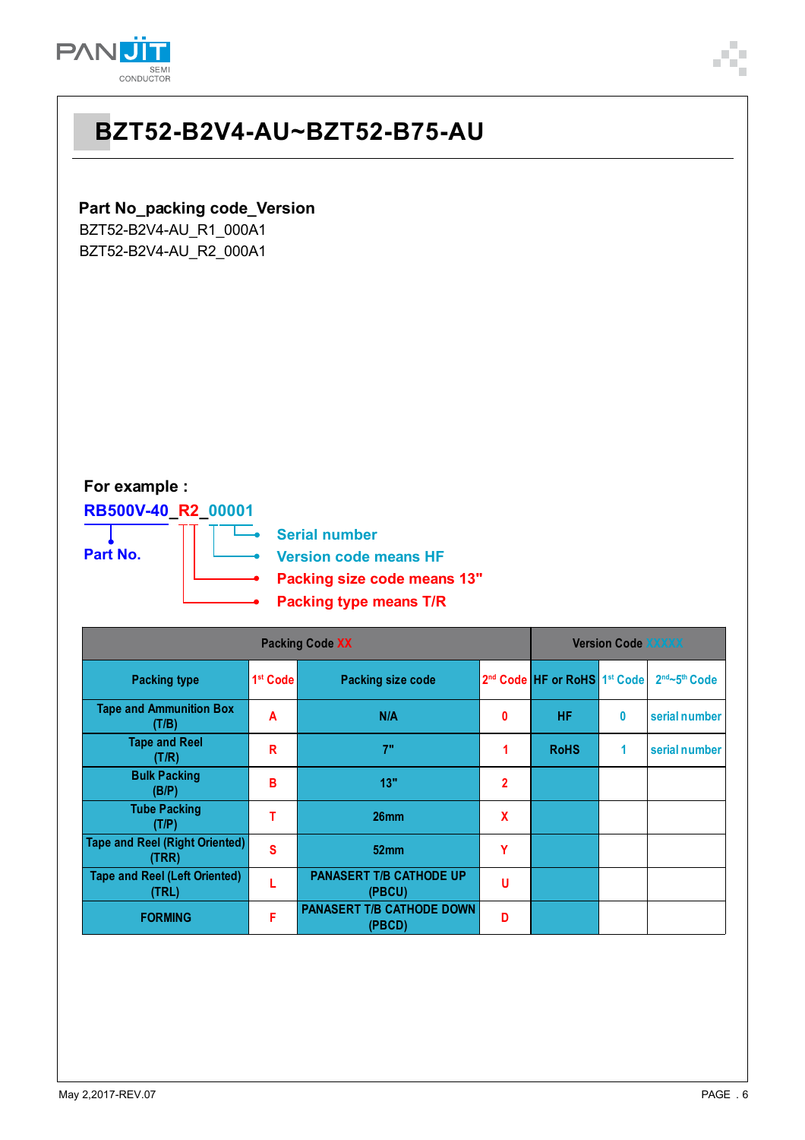

### **Part No\_packing code\_Version**

BZT52-B2V4-AU\_R1\_000A1 BZT52-B2V4-AU\_R2\_000A1

#### **For example :**

**RB500V-40\_R2\_00001** т

**Part No.**

**Serial number Version code means HF**

**Packing size code means 13"**

**Packing type means T/R**

| <b>Packing Code XX</b>                         |                      |                                            |                |                                                      | <b>Version Code XXXXX</b> |               |  |  |
|------------------------------------------------|----------------------|--------------------------------------------|----------------|------------------------------------------------------|---------------------------|---------------|--|--|
| <b>Packing type</b>                            | 1 <sup>st</sup> Code | <b>Packing size code</b>                   |                | 2 <sup>nd</sup> Code HF or RoHS 1 <sup>st</sup> Code |                           | 2nd~5th Code  |  |  |
| <b>Tape and Ammunition Box</b><br>(T/B)        | A                    | N/A                                        | 0              | HF                                                   | 0                         | serial number |  |  |
| <b>Tape and Reel</b><br>(T/R)                  | R                    | 7"                                         |                | <b>RoHS</b>                                          | 1                         | serial number |  |  |
| <b>Bulk Packing</b><br>(B/P)                   | в                    | 13"                                        | $\overline{2}$ |                                                      |                           |               |  |  |
| <b>Tube Packing</b><br>(T/P)                   |                      | 26mm                                       | X              |                                                      |                           |               |  |  |
| <b>Tape and Reel (Right Oriented)</b><br>(TRR) | S                    | 52mm                                       | Υ              |                                                      |                           |               |  |  |
| <b>Tape and Reel (Left Oriented)</b><br>(TRL)  |                      | <b>PANASERT T/B CATHODE UP</b><br>(PBCU)   | U              |                                                      |                           |               |  |  |
| <b>FORMING</b>                                 | F                    | <b>PANASERT T/B CATHODE DOWN</b><br>(PBCD) | D              |                                                      |                           |               |  |  |